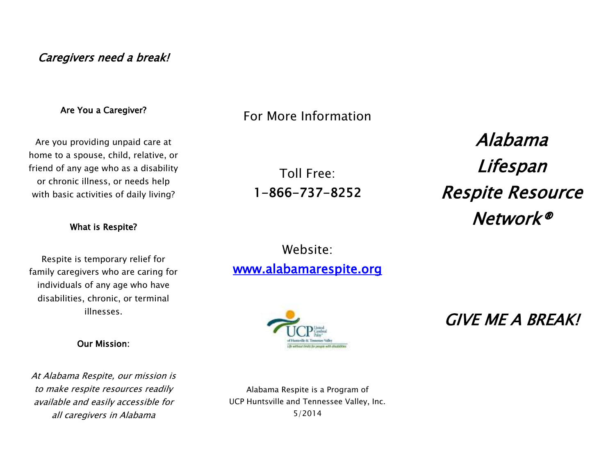## Caregivers need a break!

#### Are You a Caregiver?

Are you providing unpaid care at home to a spouse, child, relative, or friend of any age who as a disability or chronic illness, or needs help with basic activities of daily living?

#### What is Respite?

Respite is temporary relief for family caregivers who are caring for individuals of any age who have disabilities, chronic, or terminal illnesses.

#### Our Mission:

At Alabama Respite, our mission is to make respite resources readily available and easily accessible for all caregivers in Alabama

Alabama Respite is a Program of UCP Huntsville and Tennessee Valley, Inc. 5/2014

For More Information

Toll Free: 1-866-737-8252

Website:

[www.alabamarespite.org](http://www.alabamarespite.org/) 

Alabama Lifespan Respite Resource Network®

GIVE ME A BREAK!